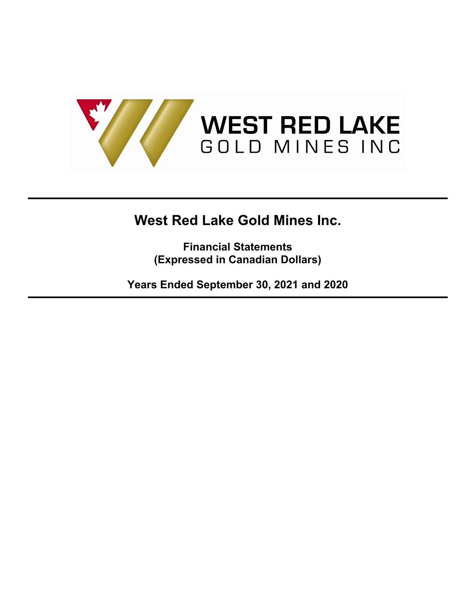

**Financial Statements (Expressed in Canadian Dollars)**

**Years Ended September 30, 2021 and 2020**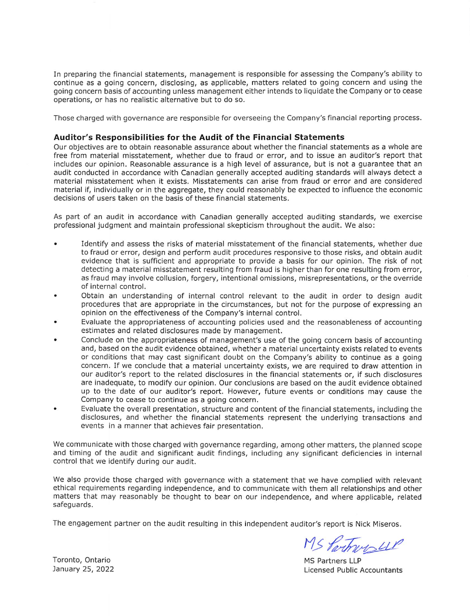In preparing the financial statements, management is responsible for assessing the Company's ability to continue as a going concern, disclosing, as applicable, matters related to going concern and using the going concern basis of accounting unless management either intends to liquidate the Company or to cease operations, or has no realistic alternative but to do so.

Those charged with governance are responsible for overseeing the Company's financial reporting process.

## Auditor's Responsibilities for the Audit of the Financial Statements

Our objectives are to obtain reasonable assurance about whether the financial statements as a whole are free from material misstatement, whether due to fraud or error, and to issue an auditor's report that includes our opinion. Reasonable assurance is a high level of assurance, but is not a guarantee that an audit conducted in accordance with Canadian generally accepted auditing standards will always detect a material misstatement when it exists. Misstatements can arise from fraud or error and are considered material if, individually or in the aggregate, they could reasonably be expected to influence the economic decisions of users taken on the basis of these financial statements.

As part of an audit in accordance with Canadian generally accepted auditing standards, we exercise professional judgment and maintain professional skepticism throughout the audit. We also:

- Identify and assess the risks of material misstatement of the financial statements, whether due to fraud or error, design and perform audit procedures responsive to those risks, and obtain audit evidence that is sufficient and appropriate to provide a basis for our opinion. The risk of not detecting a material misstatement resulting from fraud is higher than for one resulting from error, as fraud may involve collusion, forgery, intentional omissions, misrepresentations, or the override of internal control.
- Obtain an understanding of internal control relevant to the audit in order to design audit procedures that are appropriate in the circumstances, but not for the purpose of expressing an opinion on the effectiveness of the Company's internal control.
- Evaluate the appropriateness of accounting policies used and the reasonableness of accounting estimates and related disclosures made by management.
- Conclude on the appropriateness of management's use of the going concern basis of accounting and, based on the audit evidence obtained, whether a material uncertainty exists related to events or conditions that may cast significant doubt on the Company's ability to continue as a going concern. If we conclude that a material uncertainty exists, we are required to draw attention in our auditor's report to the related disclosures in the financial statements or, if such disclosures are inadequate, to modify our opinion. Our conclusions are based on the audit evidence obtained up to the date of our auditor's report. However, future events or conditions may cause the Company to cease to continue as a going concern.
- Evaluate the overall presentation, structure and content of the financial statements, including the disclosures, and whether the financial statements represent the underlying transactions and events in a manner that achieves fair presentation.

We communicate with those charged with governance regarding, among other matters, the planned scope and timing of the audit and significant audit findings, including any significant deficiencies in internal control that we identify during our audit.

We also provide those charged with governance with a statement that we have complied with relevant ethical requirements regarding independence, and to communicate with them all relationships and other matters that may reasonably be thought to bear on our independence, and where applicable, related safeguards.

The engagement partner on the audit resulting in this independent auditor's report is Nick Miseros.

MS Partners UP

**MS Partners LLP** Licensed Public Accountants

Toronto, Ontario January 25, 2022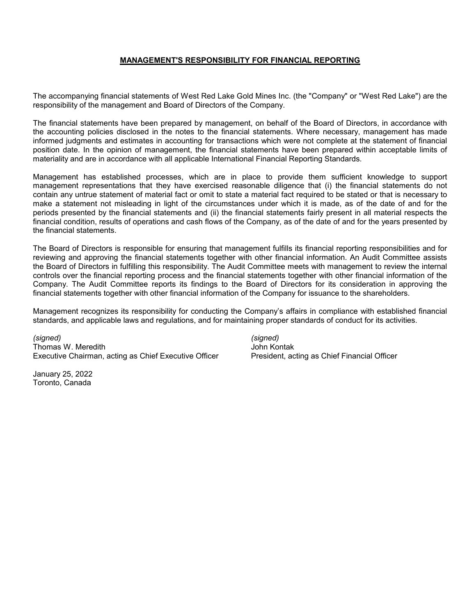## **MANAGEMENT'S RESPONSIBILITY FOR FINANCIAL REPORTING**

The accompanying financial statements of West Red Lake Gold Mines Inc. (the "Company" or "West Red Lake") are the responsibility of the management and Board of Directors of the Company.

The financial statements have been prepared by management, on behalf of the Board of Directors, in accordance with the accounting policies disclosed in the notes to the financial statements. Where necessary, management has made informed judgments and estimates in accounting for transactions which were not complete at the statement of financial position date. In the opinion of management, the financial statements have been prepared within acceptable limits of materiality and are in accordance with all applicable International Financial Reporting Standards.

Management has established processes, which are in place to provide them sufficient knowledge to support management representations that they have exercised reasonable diligence that (i) the financial statements do not contain any untrue statement of material fact or omit to state a material fact required to be stated or that is necessary to make a statement not misleading in light of the circumstances under which it is made, as of the date of and for the periods presented by the financial statements and (ii) the financial statements fairly present in all material respects the financial condition, results of operations and cash flows of the Company, as of the date of and for the years presented by the financial statements.

The Board of Directors is responsible for ensuring that management fulfills its financial reporting responsibilities and for reviewing and approving the financial statements together with other financial information. An Audit Committee assists the Board of Directors in fulfilling this responsibility. The Audit Committee meets with management to review the internal controls over the financial reporting process and the financial statements together with other financial information of the Company. The Audit Committee reports its findings to the Board of Directors for its consideration in approving the financial statements together with other financial information of the Company for issuance to the shareholders.

Management recognizes its responsibility for conducting the Company's affairs in compliance with established financial standards, and applicable laws and regulations, and for maintaining proper standards of conduct for its activities.

*(signed) (signed)* Thomas W. Meredith **John Kontak** John Kontak Executive Chairman, acting as Chief Executive Officer President, acting as Chief Financial Officer

January 25, 2022 Toronto, Canada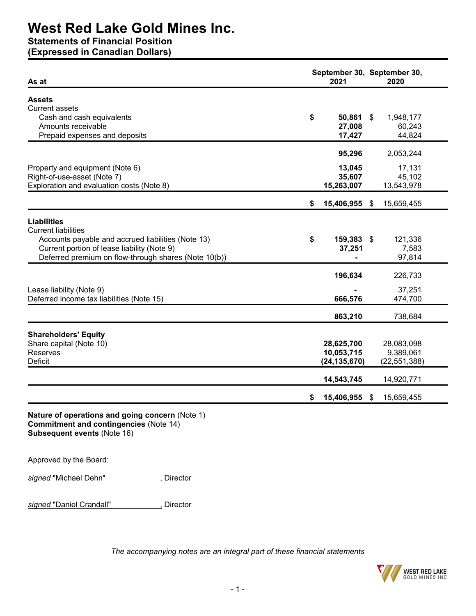# **Statements of Financial Position**

**(Expressed in Canadian Dollars)**

| As at                                                | September 30, September 30,<br>2021 | 2020           |                  |
|------------------------------------------------------|-------------------------------------|----------------|------------------|
| <b>Assets</b><br><b>Current assets</b>               |                                     |                |                  |
| Cash and cash equivalents                            | \$                                  | 50,861         | \$<br>1,948,177  |
| Amounts receivable                                   |                                     | 27,008         | 60,243           |
| Prepaid expenses and deposits                        |                                     | 17,427         | 44,824           |
|                                                      |                                     | 95,296         | 2,053,244        |
| Property and equipment (Note 6)                      |                                     | 13,045         | 17,131           |
| Right-of-use-asset (Note 7)                          |                                     | 35,607         | 45,102           |
| Exploration and evaluation costs (Note 8)            |                                     | 15,263,007     | 13,543,978       |
|                                                      | \$                                  | 15,406,955     | \$<br>15,659,455 |
| <b>Liabilities</b>                                   |                                     |                |                  |
| <b>Current liabilities</b>                           |                                     |                |                  |
| Accounts payable and accrued liabilities (Note 13)   | \$                                  | 159,383 \$     | 121,336          |
| Current portion of lease liability (Note 9)          |                                     | 37,251         | 7,583            |
| Deferred premium on flow-through shares (Note 10(b)) |                                     |                | 97,814           |
|                                                      |                                     | 196,634        | 226,733          |
| Lease liability (Note 9)                             |                                     |                | 37,251           |
| Deferred income tax liabilities (Note 15)            |                                     | 666,576        | 474,700          |
|                                                      |                                     | 863,210        | 738,684          |
| <b>Shareholders' Equity</b>                          |                                     |                |                  |
| Share capital (Note 10)                              |                                     | 28,625,700     | 28,083,098       |
| Reserves                                             |                                     | 10,053,715     | 9,389,061        |
| <b>Deficit</b>                                       |                                     | (24, 135, 670) | (22, 551, 388)   |
|                                                      |                                     | 14,543,745     | 14,920,771       |
|                                                      | S                                   | 15,406,955 \$  | 15,659,455       |

**Subsequent events** (Note 16)

Approved by the Board:

*signed* "Michael Dehn" , Director

**signed "Daniel Crandall"** , Director

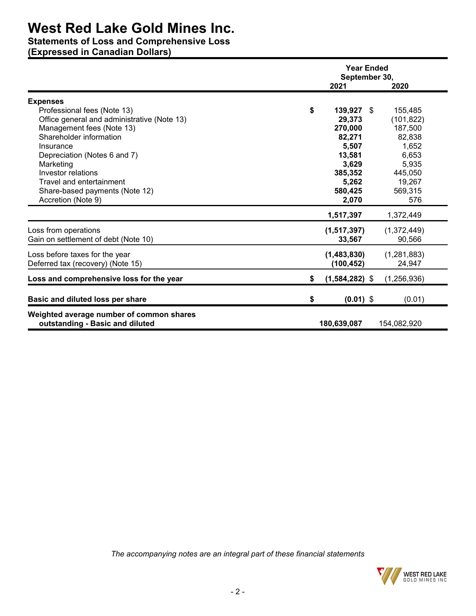# **Statements of Loss and Comprehensive Loss**

**(Expressed in Canadian Dollars)**

|                                                                             | <b>Year Ended</b><br>September 30, |               |  |
|-----------------------------------------------------------------------------|------------------------------------|---------------|--|
|                                                                             | 2021                               | 2020          |  |
| <b>Expenses</b>                                                             |                                    |               |  |
| Professional fees (Note 13)                                                 | \$<br>139,927 \$                   | 155,485       |  |
| Office general and administrative (Note 13)                                 | 29,373                             | (101, 822)    |  |
| Management fees (Note 13)                                                   | 270,000                            | 187,500       |  |
| Shareholder information                                                     | 82,271                             | 82,838        |  |
| Insurance                                                                   | 5,507                              | 1,652         |  |
| Depreciation (Notes 6 and 7)                                                | 13,581                             | 6,653         |  |
| Marketing                                                                   | 3,629                              | 5,935         |  |
| <b>Investor relations</b>                                                   | 385,352                            | 445,050       |  |
| Travel and entertainment                                                    | 5,262                              | 19,267        |  |
| Share-based payments (Note 12)                                              | 580,425                            | 569,315       |  |
| Accretion (Note 9)                                                          | 2,070                              | 576           |  |
|                                                                             | 1,517,397                          | 1,372,449     |  |
| Loss from operations                                                        | (1, 517, 397)                      | (1,372,449)   |  |
| Gain on settlement of debt (Note 10)                                        | 33,567                             | 90,566        |  |
| Loss before taxes for the year                                              | (1,483,830)                        | (1, 281, 883) |  |
| Deferred tax (recovery) (Note 15)                                           | (100, 452)                         | 24,947        |  |
| Loss and comprehensive loss for the year                                    | \$<br>$(1,584,282)$ \$             | (1,256,936)   |  |
| Basic and diluted loss per share                                            | \$<br>$(0.01)$ \$                  | (0.01)        |  |
|                                                                             |                                    |               |  |
| Weighted average number of common shares<br>outstanding - Basic and diluted | 180,639,087                        | 154,082,920   |  |

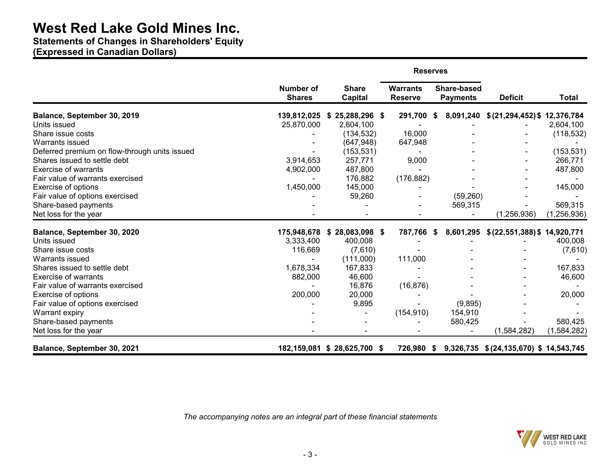# **Statements of Changes in Shareholders' Equity**

**(Expressed in Canadian Dollars)**

|                                               |                            |                              |                                   | <b>Reserves</b>                |                                       |               |
|-----------------------------------------------|----------------------------|------------------------------|-----------------------------------|--------------------------------|---------------------------------------|---------------|
|                                               | Number of<br><b>Shares</b> | <b>Share</b><br>Capital      | <b>Warrants</b><br><b>Reserve</b> | Share-based<br><b>Payments</b> | <b>Deficit</b>                        | Total         |
| Balance, September 30, 2019                   | 139,812,025                | $$25,288,296$ \$             | 291,700                           | 8,091,240<br>-S                | \$(21, 294, 452)                      | 12,376,784    |
| Units issued                                  | 25,870,000                 | 2,604,100                    |                                   |                                |                                       | 2,604,100     |
| Share issue costs                             |                            | (134, 532)                   | 16,000                            |                                |                                       | (118, 532)    |
| Warrants issued                               |                            | (647, 948)                   | 647,948                           |                                |                                       |               |
| Deferred premium on flow-through units issued |                            | (153, 531)                   |                                   |                                |                                       | (153, 531)    |
| Shares issued to settle debt                  | 3,914,653                  | 257,771                      | 9,000                             |                                |                                       | 266,771       |
| <b>Exercise of warrants</b>                   | 4,902,000                  | 487,800                      |                                   |                                |                                       | 487,800       |
| Fair value of warrants exercised              |                            | 176,882                      | (176, 882)                        |                                |                                       |               |
| Exercise of options                           | 1,450,000                  | 145,000                      |                                   |                                |                                       | 145,000       |
| Fair value of options exercised               |                            | 59,260                       |                                   | (59,260)                       |                                       |               |
| Share-based payments                          |                            |                              |                                   | 569,315                        |                                       | 569,315       |
| Net loss for the year                         |                            |                              |                                   |                                | (1, 256, 936)                         | (1, 256, 936) |
| Balance, September 30, 2020                   | 175,948,678                | $$28,083,098$ \$             | 787,766                           | 8,601,295<br>-SS               | $$ (22, 551, 388)$ \$ 14,920,771      |               |
| Units issued                                  | 3,333,400                  | 400,008                      |                                   |                                |                                       | 400,008       |
| Share issue costs                             | 116,669                    | (7,610)                      |                                   |                                |                                       | (7,610)       |
| Warrants issued                               |                            | (111,000)                    | 111,000                           |                                |                                       |               |
| Shares issued to settle debt                  | 1,678,334                  | 167,833                      |                                   |                                |                                       | 167,833       |
| Exercise of warrants                          | 882,000                    | 46,600                       |                                   |                                |                                       | 46,600        |
| Fair value of warrants exercised              |                            | 16,876                       | (16, 876)                         |                                |                                       |               |
| Exercise of options                           | 200,000                    | 20,000                       |                                   |                                |                                       | 20,000        |
| Fair value of options exercised               |                            | 9,895                        |                                   | (9,895)                        |                                       |               |
| Warrant expiry                                |                            |                              | (154, 910)                        | 154,910                        |                                       |               |
| Share-based payments                          |                            |                              |                                   | 580,425                        |                                       | 580,425       |
| Net loss for the year                         |                            |                              |                                   |                                | (1,584,282)                           | (1, 584, 282) |
| Balance, September 30, 2021                   |                            | 182,159,081 \$ 28,625,700 \$ | 726,980 \$                        |                                | 9,326,735 \$(24,135,670) \$14,543,745 |               |

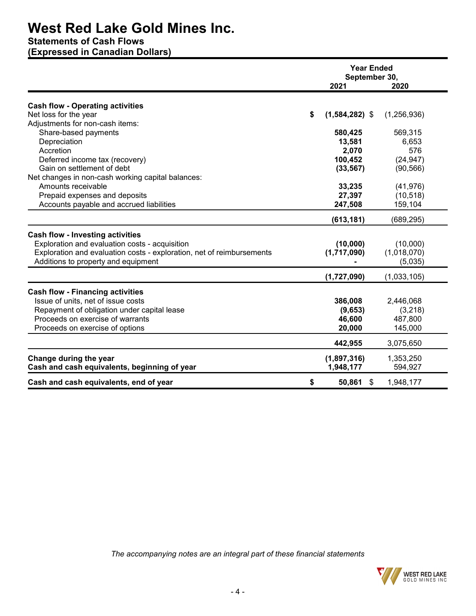# **Statements of Cash Flows**

**(Expressed in Canadian Dollars)**

|                                                                       | <b>Year Ended</b><br>September 30, |               |  |
|-----------------------------------------------------------------------|------------------------------------|---------------|--|
|                                                                       | 2021                               | 2020          |  |
|                                                                       |                                    |               |  |
| <b>Cash flow - Operating activities</b><br>Net loss for the year      | \$<br>$(1,584,282)$ \$             | (1, 256, 936) |  |
| Adjustments for non-cash items:                                       |                                    |               |  |
|                                                                       |                                    |               |  |
| Share-based payments                                                  | 580,425                            | 569,315       |  |
| Depreciation                                                          | 13,581                             | 6,653         |  |
| Accretion                                                             | 2,070                              | 576           |  |
| Deferred income tax (recovery)                                        | 100,452                            | (24, 947)     |  |
| Gain on settlement of debt                                            | (33, 567)                          | (90, 566)     |  |
| Net changes in non-cash working capital balances:                     |                                    |               |  |
| Amounts receivable                                                    | 33,235                             | (41, 976)     |  |
| Prepaid expenses and deposits                                         | 27,397                             | (10, 518)     |  |
| Accounts payable and accrued liabilities                              | 247,508                            | 159,104       |  |
|                                                                       | (613, 181)                         | (689, 295)    |  |
| <b>Cash flow - Investing activities</b>                               |                                    |               |  |
| Exploration and evaluation costs - acquisition                        | (10,000)                           | (10,000)      |  |
| Exploration and evaluation costs - exploration, net of reimbursements | (1,717,090)                        | (1,018,070)   |  |
| Additions to property and equipment                                   |                                    | (5,035)       |  |
|                                                                       |                                    |               |  |
|                                                                       | (1,727,090)                        | (1,033,105)   |  |
| <b>Cash flow - Financing activities</b>                               |                                    |               |  |
| Issue of units, net of issue costs                                    | 386,008                            | 2,446,068     |  |
| Repayment of obligation under capital lease                           | (9,653)                            | (3,218)       |  |
| Proceeds on exercise of warrants                                      | 46,600                             | 487,800       |  |
| Proceeds on exercise of options                                       | 20,000                             | 145,000       |  |
|                                                                       |                                    |               |  |
|                                                                       | 442,955                            | 3,075,650     |  |
| Change during the year                                                | (1,897,316)                        | 1,353,250     |  |
| Cash and cash equivalents, beginning of year                          | 1,948,177                          | 594,927       |  |
| Cash and cash equivalents, end of year                                | \$<br>50,861<br>\$                 | 1,948,177     |  |

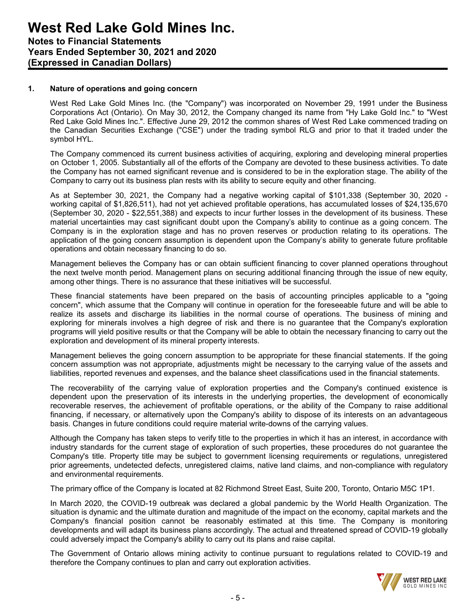# **West Red Lake Gold Mines Inc. Notes to Financial Statements Years Ended September 30, 2021 and 2020 (Expressed in Canadian Dollars)**

#### **1. Nature of operations and going concern**

West Red Lake Gold Mines Inc. (the "Company") was incorporated on November 29, 1991 under the Business Corporations Act (Ontario). On May 30, 2012, the Company changed its name from "Hy Lake Gold Inc." to "West Red Lake Gold Mines Inc.". Effective June 29, 2012 the common shares of West Red Lake commenced trading on the Canadian Securities Exchange ("CSE") under the trading symbol RLG and prior to that it traded under the symbol HYL.

The Company commenced its current business activities of acquiring, exploring and developing mineral properties on October 1, 2005. Substantially all of the efforts of the Company are devoted to these business activities. To date the Company has not earned significant revenue and is considered to be in the exploration stage. The ability of the Company to carry out its business plan rests with its ability to secure equity and other financing.

As at September 30, 2021, the Company had a negative working capital of \$101,338 (September 30, 2020 working capital of \$1,826,511), had not yet achieved profitable operations, has accumulated losses of \$24,135,670 (September 30, 2020 - \$22,551,388) and expects to incur further losses in the development of its business. These material uncertainties may cast significant doubt upon the Company's ability to continue as a going concern. The Company is in the exploration stage and has no proven reserves or production relating to its operations. The application of the going concern assumption is dependent upon the Company's ability to generate future profitable operations and obtain necessary financing to do so.

Management believes the Company has or can obtain sufficient financing to cover planned operations throughout the next twelve month period. Management plans on securing additional financing through the issue of new equity, among other things. There is no assurance that these initiatives will be successful.

These financial statements have been prepared on the basis of accounting principles applicable to a "going concern", which assume that the Company will continue in operation for the foreseeable future and will be able to realize its assets and discharge its liabilities in the normal course of operations. The business of mining and exploring for minerals involves a high degree of risk and there is no guarantee that the Company's exploration programs will yield positive results or that the Company will be able to obtain the necessary financing to carry out the exploration and development of its mineral property interests.

Management believes the going concern assumption to be appropriate for these financial statements. If the going concern assumption was not appropriate, adjustments might be necessary to the carrying value of the assets and liabilities, reported revenues and expenses, and the balance sheet classifications used in the financial statements.

The recoverability of the carrying value of exploration properties and the Company's continued existence is dependent upon the preservation of its interests in the underlying properties, the development of economically recoverable reserves, the achievement of profitable operations, or the ability of the Company to raise additional financing, if necessary, or alternatively upon the Company's ability to dispose of its interests on an advantageous basis. Changes in future conditions could require material write-downs of the carrying values.

Although the Company has taken steps to verify title to the properties in which it has an interest, in accordance with industry standards for the current stage of exploration of such properties, these procedures do not guarantee the Company's title. Property title may be subject to government licensing requirements or regulations, unregistered prior agreements, undetected defects, unregistered claims, native land claims, and non-compliance with regulatory and environmental requirements.

The primary office of the Company is located at 82 Richmond Street East, Suite 200, Toronto, Ontario M5C 1P1.

In March 2020, the COVID-19 outbreak was declared a global pandemic by the World Health Organization. The situation is dynamic and the ultimate duration and magnitude of the impact on the economy, capital markets and the Company's financial position cannot be reasonably estimated at this time. The Company is monitoring developments and will adapt its business plans accordingly. The actual and threatened spread of COVID-19 globally could adversely impact the Company's ability to carry out its plans and raise capital.

The Government of Ontario allows mining activity to continue pursuant to regulations related to COVID-19 and therefore the Company continues to plan and carry out exploration activities.

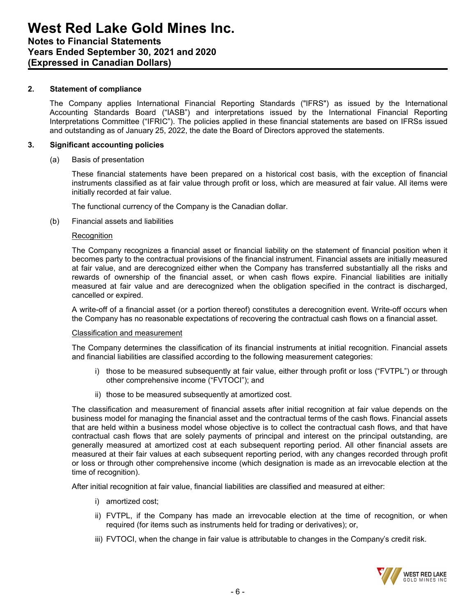## **2. Statement of compliance**

The Company applies International Financial Reporting Standards ("IFRS") as issued by the International Accounting Standards Board ("IASB") and interpretations issued by the International Financial Reporting Interpretations Committee ("IFRIC"). The policies applied in these financial statements are based on IFRSs issued and outstanding as of January 25, 2022, the date the Board of Directors approved the statements.

## **3. Significant accounting policies**

(a) Basis of presentation

These financial statements have been prepared on a historical cost basis, with the exception of financial instruments classified as at fair value through profit or loss, which are measured at fair value. All items were initially recorded at fair value.

The functional currency of the Company is the Canadian dollar.

(b) Financial assets and liabilities

#### **Recognition**

The Company recognizes a financial asset or financial liability on the statement of financial position when it becomes party to the contractual provisions of the financial instrument. Financial assets are initially measured at fair value, and are derecognized either when the Company has transferred substantially all the risks and rewards of ownership of the financial asset, or when cash flows expire. Financial liabilities are initially measured at fair value and are derecognized when the obligation specified in the contract is discharged, cancelled or expired.

A write-off of a financial asset (or a portion thereof) constitutes a derecognition event. Write-off occurs when the Company has no reasonable expectations of recovering the contractual cash flows on a financial asset.

#### Classification and measurement

The Company determines the classification of its financial instruments at initial recognition. Financial assets and financial liabilities are classified according to the following measurement categories:

- i) those to be measured subsequently at fair value, either through profit or loss ("FVTPL") or through other comprehensive income ("FVTOCI"); and
- ii) those to be measured subsequently at amortized cost.

The classification and measurement of financial assets after initial recognition at fair value depends on the business model for managing the financial asset and the contractual terms of the cash flows. Financial assets that are held within a business model whose objective is to collect the contractual cash flows, and that have contractual cash flows that are solely payments of principal and interest on the principal outstanding, are generally measured at amortized cost at each subsequent reporting period. All other financial assets are measured at their fair values at each subsequent reporting period, with any changes recorded through profit or loss or through other comprehensive income (which designation is made as an irrevocable election at the time of recognition).

After initial recognition at fair value, financial liabilities are classified and measured at either:

- i) amortized cost;
- ii) FVTPL, if the Company has made an irrevocable election at the time of recognition, or when required (for items such as instruments held for trading or derivatives); or,
- iii) FVTOCI, when the change in fair value is attributable to changes in the Company's credit risk.

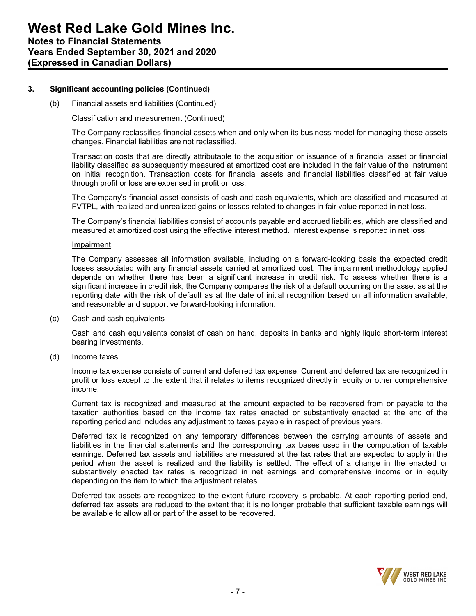# **Notes to Financial Statements Years Ended September 30, 2021 and 2020 (Expressed in Canadian Dollars)**

## **3. Significant accounting policies (Continued)**

(b) Financial assets and liabilities (Continued)

#### Classification and measurement (Continued)

The Company reclassifies financial assets when and only when its business model for managing those assets changes. Financial liabilities are not reclassified.

Transaction costs that are directly attributable to the acquisition or issuance of a financial asset or financial liability classified as subsequently measured at amortized cost are included in the fair value of the instrument on initial recognition. Transaction costs for financial assets and financial liabilities classified at fair value through profit or loss are expensed in profit or loss.

The Company's financial asset consists of cash and cash equivalents, which are classified and measured at FVTPL, with realized and unrealized gains or losses related to changes in fair value reported in net loss.

The Company's financial liabilities consist of accounts payable and accrued liabilities, which are classified and measured at amortized cost using the effective interest method. Interest expense is reported in net loss.

#### Impairment

The Company assesses all information available, including on a forward-looking basis the expected credit losses associated with any financial assets carried at amortized cost. The impairment methodology applied depends on whether there has been a significant increase in credit risk. To assess whether there is a significant increase in credit risk, the Company compares the risk of a default occurring on the asset as at the reporting date with the risk of default as at the date of initial recognition based on all information available, and reasonable and supportive forward-looking information.

(c) Cash and cash equivalents

Cash and cash equivalents consist of cash on hand, deposits in banks and highly liquid short-term interest bearing investments.

(d) Income taxes

Income tax expense consists of current and deferred tax expense. Current and deferred tax are recognized in profit or loss except to the extent that it relates to items recognized directly in equity or other comprehensive income.

Current tax is recognized and measured at the amount expected to be recovered from or payable to the taxation authorities based on the income tax rates enacted or substantively enacted at the end of the reporting period and includes any adjustment to taxes payable in respect of previous years.

Deferred tax is recognized on any temporary differences between the carrying amounts of assets and liabilities in the financial statements and the corresponding tax bases used in the computation of taxable earnings. Deferred tax assets and liabilities are measured at the tax rates that are expected to apply in the period when the asset is realized and the liability is settled. The effect of a change in the enacted or substantively enacted tax rates is recognized in net earnings and comprehensive income or in equity depending on the item to which the adjustment relates.

Deferred tax assets are recognized to the extent future recovery is probable. At each reporting period end, deferred tax assets are reduced to the extent that it is no longer probable that sufficient taxable earnings will be available to allow all or part of the asset to be recovered.

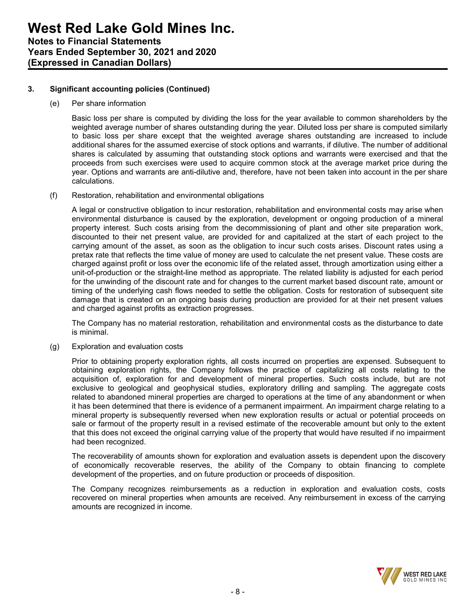# **3. Significant accounting policies (Continued)**

(e) Per share information

Basic loss per share is computed by dividing the loss for the year available to common shareholders by the weighted average number of shares outstanding during the year. Diluted loss per share is computed similarly to basic loss per share except that the weighted average shares outstanding are increased to include additional shares for the assumed exercise of stock options and warrants, if dilutive. The number of additional shares is calculated by assuming that outstanding stock options and warrants were exercised and that the proceeds from such exercises were used to acquire common stock at the average market price during the year. Options and warrants are anti-dilutive and, therefore, have not been taken into account in the per share calculations.

(f) Restoration, rehabilitation and environmental obligations

A legal or constructive obligation to incur restoration, rehabilitation and environmental costs may arise when environmental disturbance is caused by the exploration, development or ongoing production of a mineral property interest. Such costs arising from the decommissioning of plant and other site preparation work, discounted to their net present value, are provided for and capitalized at the start of each project to the carrying amount of the asset, as soon as the obligation to incur such costs arises. Discount rates using a pretax rate that reflects the time value of money are used to calculate the net present value. These costs are charged against profit or loss over the economic life of the related asset, through amortization using either a unit-of-production or the straight-line method as appropriate. The related liability is adjusted for each period for the unwinding of the discount rate and for changes to the current market based discount rate, amount or timing of the underlying cash flows needed to settle the obligation. Costs for restoration of subsequent site damage that is created on an ongoing basis during production are provided for at their net present values and charged against profits as extraction progresses.

The Company has no material restoration, rehabilitation and environmental costs as the disturbance to date is minimal.

(g) Exploration and evaluation costs

Prior to obtaining property exploration rights, all costs incurred on properties are expensed. Subsequent to obtaining exploration rights, the Company follows the practice of capitalizing all costs relating to the acquisition of, exploration for and development of mineral properties. Such costs include, but are not exclusive to geological and geophysical studies, exploratory drilling and sampling. The aggregate costs related to abandoned mineral properties are charged to operations at the time of any abandonment or when it has been determined that there is evidence of a permanent impairment. An impairment charge relating to a mineral property is subsequently reversed when new exploration results or actual or potential proceeds on sale or farmout of the property result in a revised estimate of the recoverable amount but only to the extent that this does not exceed the original carrying value of the property that would have resulted if no impairment had been recognized.

The recoverability of amounts shown for exploration and evaluation assets is dependent upon the discovery of economically recoverable reserves, the ability of the Company to obtain financing to complete development of the properties, and on future production or proceeds of disposition.

The Company recognizes reimbursements as a reduction in exploration and evaluation costs, costs recovered on mineral properties when amounts are received. Any reimbursement in excess of the carrying amounts are recognized in income.

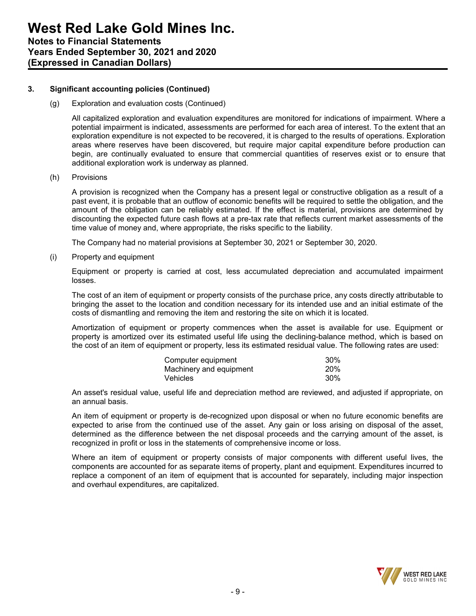# **West Red Lake Gold Mines Inc. Notes to Financial Statements Years Ended September 30, 2021 and 2020**

**(Expressed in Canadian Dollars)**

## **3. Significant accounting policies (Continued)**

(g) Exploration and evaluation costs (Continued)

All capitalized exploration and evaluation expenditures are monitored for indications of impairment. Where a potential impairment is indicated, assessments are performed for each area of interest. To the extent that an exploration expenditure is not expected to be recovered, it is charged to the results of operations. Exploration areas where reserves have been discovered, but require major capital expenditure before production can begin, are continually evaluated to ensure that commercial quantities of reserves exist or to ensure that additional exploration work is underway as planned.

(h) Provisions

A provision is recognized when the Company has a present legal or constructive obligation as a result of a past event, it is probable that an outflow of economic benefits will be required to settle the obligation, and the amount of the obligation can be reliably estimated. If the effect is material, provisions are determined by discounting the expected future cash flows at a pre-tax rate that reflects current market assessments of the time value of money and, where appropriate, the risks specific to the liability.

The Company had no material provisions at September 30, 2021 or September 30, 2020.

(i) Property and equipment

Equipment or property is carried at cost, less accumulated depreciation and accumulated impairment losses.

The cost of an item of equipment or property consists of the purchase price, any costs directly attributable to bringing the asset to the location and condition necessary for its intended use and an initial estimate of the costs of dismantling and removing the item and restoring the site on which it is located.

Amortization of equipment or property commences when the asset is available for use. Equipment or property is amortized over its estimated useful life using the declining-balance method, which is based on the cost of an item of equipment or property, less its estimated residual value. The following rates are used:

| Computer equipment      | 30%        |
|-------------------------|------------|
| Machinery and equipment | <b>20%</b> |
| Vehicles                | 30%        |

An asset's residual value, useful life and depreciation method are reviewed, and adjusted if appropriate, on an annual basis.

An item of equipment or property is de-recognized upon disposal or when no future economic benefits are expected to arise from the continued use of the asset. Any gain or loss arising on disposal of the asset, determined as the difference between the net disposal proceeds and the carrying amount of the asset, is recognized in profit or loss in the statements of comprehensive income or loss.

Where an item of equipment or property consists of major components with different useful lives, the components are accounted for as separate items of property, plant and equipment. Expenditures incurred to replace a component of an item of equipment that is accounted for separately, including major inspection and overhaul expenditures, are capitalized.

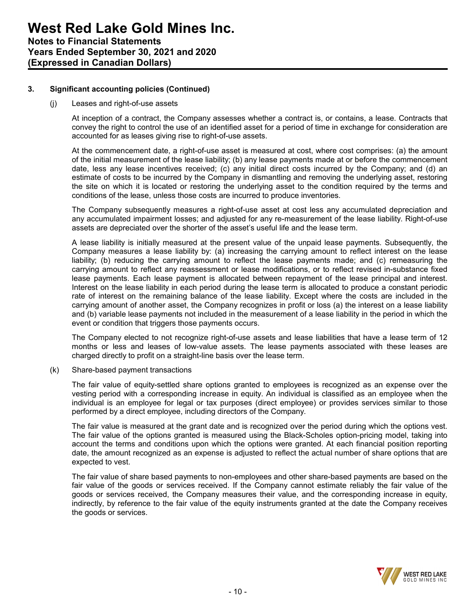# **West Red Lake Gold Mines Inc. Notes to Financial Statements Years Ended September 30, 2021 and 2020 (Expressed in Canadian Dollars)**

## **3. Significant accounting policies (Continued)**

(j) Leases and right-of-use assets

At inception of a contract, the Company assesses whether a contract is, or contains, a lease. Contracts that convey the right to control the use of an identified asset for a period of time in exchange for consideration are accounted for as leases giving rise to right-of-use assets.

At the commencement date, a right-of-use asset is measured at cost, where cost comprises: (a) the amount of the initial measurement of the lease liability; (b) any lease payments made at or before the commencement date, less any lease incentives received; (c) any initial direct costs incurred by the Company; and (d) an estimate of costs to be incurred by the Company in dismantling and removing the underlying asset, restoring the site on which it is located or restoring the underlying asset to the condition required by the terms and conditions of the lease, unless those costs are incurred to produce inventories.

The Company subsequently measures a right-of-use asset at cost less any accumulated depreciation and any accumulated impairment losses; and adjusted for any re-measurement of the lease liability. Right-of-use assets are depreciated over the shorter of the asset's useful life and the lease term.

A lease liability is initially measured at the present value of the unpaid lease payments. Subsequently, the Company measures a lease liability by: (a) increasing the carrying amount to reflect interest on the lease liability; (b) reducing the carrying amount to reflect the lease payments made; and (c) remeasuring the carrying amount to reflect any reassessment or lease modifications, or to reflect revised in-substance fixed lease payments. Each lease payment is allocated between repayment of the lease principal and interest. Interest on the lease liability in each period during the lease term is allocated to produce a constant periodic rate of interest on the remaining balance of the lease liability. Except where the costs are included in the carrying amount of another asset, the Company recognizes in profit or loss (a) the interest on a lease liability and (b) variable lease payments not included in the measurement of a lease liability in the period in which the event or condition that triggers those payments occurs.

The Company elected to not recognize right-of-use assets and lease liabilities that have a lease term of 12 months or less and leases of low-value assets. The lease payments associated with these leases are charged directly to profit on a straight-line basis over the lease term.

(k) Share-based payment transactions

The fair value of equity-settled share options granted to employees is recognized as an expense over the vesting period with a corresponding increase in equity. An individual is classified as an employee when the individual is an employee for legal or tax purposes (direct employee) or provides services similar to those performed by a direct employee, including directors of the Company.

The fair value is measured at the grant date and is recognized over the period during which the options vest. The fair value of the options granted is measured using the Black-Scholes option-pricing model, taking into account the terms and conditions upon which the options were granted. At each financial position reporting date, the amount recognized as an expense is adjusted to reflect the actual number of share options that are expected to vest.

The fair value of share based payments to non-employees and other share-based payments are based on the fair value of the goods or services received. If the Company cannot estimate reliably the fair value of the goods or services received, the Company measures their value, and the corresponding increase in equity, indirectly, by reference to the fair value of the equity instruments granted at the date the Company receives the goods or services.

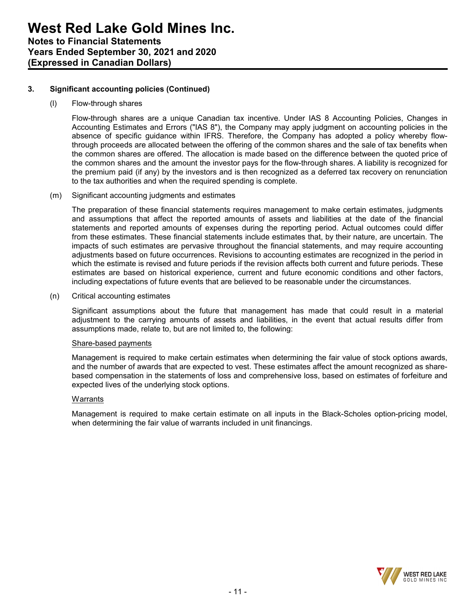# **3. Significant accounting policies (Continued)**

(l) Flow-through shares

Flow-through shares are a unique Canadian tax incentive. Under IAS 8 Accounting Policies, Changes in Accounting Estimates and Errors ("IAS 8"), the Company may apply judgment on accounting policies in the absence of specific guidance within IFRS. Therefore, the Company has adopted a policy whereby flowthrough proceeds are allocated between the offering of the common shares and the sale of tax benefits when the common shares are offered. The allocation is made based on the difference between the quoted price of the common shares and the amount the investor pays for the flow-through shares. A liability is recognized for the premium paid (if any) by the investors and is then recognized as a deferred tax recovery on renunciation to the tax authorities and when the required spending is complete.

(m) Significant accounting judgments and estimates

The preparation of these financial statements requires management to make certain estimates, judgments and assumptions that affect the reported amounts of assets and liabilities at the date of the financial statements and reported amounts of expenses during the reporting period. Actual outcomes could differ from these estimates. These financial statements include estimates that, by their nature, are uncertain. The impacts of such estimates are pervasive throughout the financial statements, and may require accounting adjustments based on future occurrences. Revisions to accounting estimates are recognized in the period in which the estimate is revised and future periods if the revision affects both current and future periods. These estimates are based on historical experience, current and future economic conditions and other factors, including expectations of future events that are believed to be reasonable under the circumstances.

(n) Critical accounting estimates

Significant assumptions about the future that management has made that could result in a material adjustment to the carrying amounts of assets and liabilities, in the event that actual results differ from assumptions made, relate to, but are not limited to, the following:

#### Share-based payments

Management is required to make certain estimates when determining the fair value of stock options awards, and the number of awards that are expected to vest. These estimates affect the amount recognized as sharebased compensation in the statements of loss and comprehensive loss, based on estimates of forfeiture and expected lives of the underlying stock options.

#### **Warrants**

Management is required to make certain estimate on all inputs in the Black-Scholes option-pricing model, when determining the fair value of warrants included in unit financings.

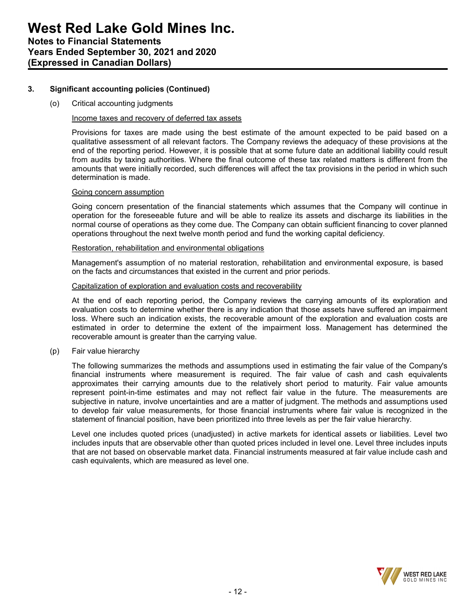# **Notes to Financial Statements Years Ended September 30, 2021 and 2020 (Expressed in Canadian Dollars)**

# **3. Significant accounting policies (Continued)**

(o) Critical accounting judgments

# Income taxes and recovery of deferred tax assets

Provisions for taxes are made using the best estimate of the amount expected to be paid based on a qualitative assessment of all relevant factors. The Company reviews the adequacy of these provisions at the end of the reporting period. However, it is possible that at some future date an additional liability could result from audits by taxing authorities. Where the final outcome of these tax related matters is different from the amounts that were initially recorded, such differences will affect the tax provisions in the period in which such determination is made.

#### Going concern assumption

Going concern presentation of the financial statements which assumes that the Company will continue in operation for the foreseeable future and will be able to realize its assets and discharge its liabilities in the normal course of operations as they come due. The Company can obtain sufficient financing to cover planned operations throughout the next twelve month period and fund the working capital deficiency.

## Restoration, rehabilitation and environmental obligations

Management's assumption of no material restoration, rehabilitation and environmental exposure, is based on the facts and circumstances that existed in the current and prior periods.

#### Capitalization of exploration and evaluation costs and recoverability

At the end of each reporting period, the Company reviews the carrying amounts of its exploration and evaluation costs to determine whether there is any indication that those assets have suffered an impairment loss. Where such an indication exists, the recoverable amount of the exploration and evaluation costs are estimated in order to determine the extent of the impairment loss. Management has determined the recoverable amount is greater than the carrying value.

(p) Fair value hierarchy

The following summarizes the methods and assumptions used in estimating the fair value of the Company's financial instruments where measurement is required. The fair value of cash and cash equivalents approximates their carrying amounts due to the relatively short period to maturity. Fair value amounts represent point-in-time estimates and may not reflect fair value in the future. The measurements are subjective in nature, involve uncertainties and are a matter of judgment. The methods and assumptions used to develop fair value measurements, for those financial instruments where fair value is recognized in the statement of financial position, have been prioritized into three levels as per the fair value hierarchy.

Level one includes quoted prices (unadjusted) in active markets for identical assets or liabilities. Level two includes inputs that are observable other than quoted prices included in level one. Level three includes inputs that are not based on observable market data. Financial instruments measured at fair value include cash and cash equivalents, which are measured as level one.

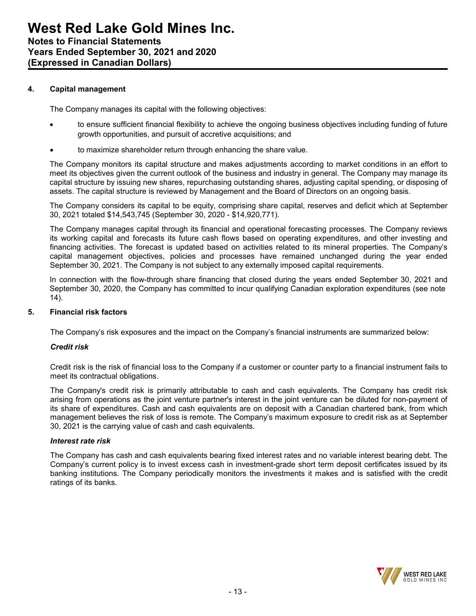## **4. Capital management**

The Company manages its capital with the following objectives:

- to ensure sufficient financial flexibility to achieve the ongoing business objectives including funding of future growth opportunities, and pursuit of accretive acquisitions; and
- to maximize shareholder return through enhancing the share value.

The Company monitors its capital structure and makes adjustments according to market conditions in an effort to meet its objectives given the current outlook of the business and industry in general. The Company may manage its capital structure by issuing new shares, repurchasing outstanding shares, adjusting capital spending, or disposing of assets. The capital structure is reviewed by Management and the Board of Directors on an ongoing basis.

The Company considers its capital to be equity, comprising share capital, reserves and deficit which at September 30, 2021 totaled \$14,543,745 (September 30, 2020 - \$14,920,771).

The Company manages capital through its financial and operational forecasting processes. The Company reviews its working capital and forecasts its future cash flows based on operating expenditures, and other investing and financing activities. The forecast is updated based on activities related to its mineral properties. The Company's capital management objectives, policies and processes have remained unchanged during the year ended September 30, 2021. The Company is not subject to any externally imposed capital requirements.

In connection with the flow-through share financing that closed during the years ended September 30, 2021 and September 30, 2020, the Company has committed to incur qualifying Canadian exploration expenditures (see note 14).

#### **5. Financial risk factors**

The Company's risk exposures and the impact on the Company's financial instruments are summarized below:

#### *Credit risk*

Credit risk is the risk of financial loss to the Company if a customer or counter party to a financial instrument fails to meet its contractual obligations.

The Company's credit risk is primarily attributable to cash and cash equivalents. The Company has credit risk arising from operations as the joint venture partner's interest in the joint venture can be diluted for non-payment of its share of expenditures. Cash and cash equivalents are on deposit with a Canadian chartered bank, from which management believes the risk of loss is remote. The Company's maximum exposure to credit risk as at September 30, 2021 is the carrying value of cash and cash equivalents.

#### *Interest rate risk*

The Company has cash and cash equivalents bearing fixed interest rates and no variable interest bearing debt. The Company's current policy is to invest excess cash in investment-grade short term deposit certificates issued by its banking institutions. The Company periodically monitors the investments it makes and is satisfied with the credit ratings of its banks.

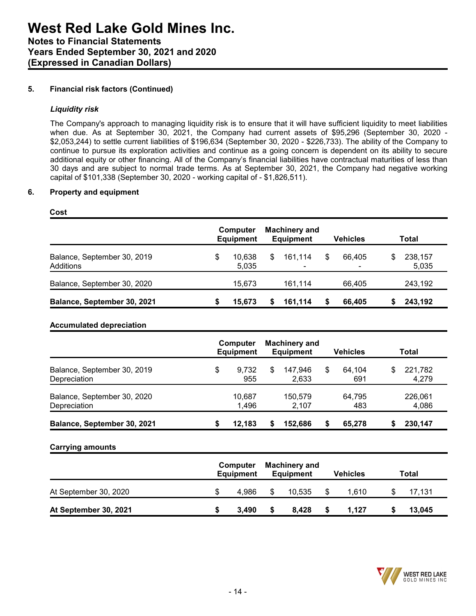# **5. Financial risk factors (Continued)**

## *Liquidity risk*

The Company's approach to managing liquidity risk is to ensure that it will have sufficient liquidity to meet liabilities when due. As at September 30, 2021, the Company had current assets of \$95,296 (September 30, 2020 - \$2,053,244) to settle current liabilities of \$196,634 (September 30, 2020 - \$226,733). The ability of the Company to continue to pursue its exploration activities and continue as a going concern is dependent on its ability to secure additional equity or other financing. All of the Company's financial liabilities have contractual maturities of less than 30 days and are subject to normal trade terms. As at September 30, 2021, the Company had negative working capital of \$101,338 (September 30, 2020 - working capital of - \$1,826,511).

# **6. Property and equipment**

| Cost                                     |                              |                                          |    |                                    |   |                  |
|------------------------------------------|------------------------------|------------------------------------------|----|------------------------------------|---|------------------|
|                                          | Computer<br><b>Equipment</b> | <b>Machinery and</b><br><b>Equipment</b> |    | <b>Vehicles</b>                    |   | Total            |
| Balance, September 30, 2019<br>Additions | \$<br>10.638<br>5,035        | \$<br>161.114                            | \$ | 66.405<br>$\overline{\phantom{a}}$ | S | 238,157<br>5,035 |
| Balance, September 30, 2020              | 15.673                       | 161,114                                  |    | 66.405                             |   | 243,192          |
| Balance, September 30, 2021              | 15,673                       | 161.114                                  | S  | 66,405                             |   | 243,192          |

#### **Accumulated depreciation**

|                                             | Computer<br><b>Equipment</b> |                 | <b>Machinery and</b><br><b>Equipment</b> |                  |   | <b>Vehicles</b> |   | Total            |
|---------------------------------------------|------------------------------|-----------------|------------------------------------------|------------------|---|-----------------|---|------------------|
| Balance, September 30, 2019<br>Depreciation | \$                           | 9,732<br>955    | \$                                       | 147.946<br>2,633 | S | 64.104<br>691   | S | 221,782<br>4,279 |
| Balance, September 30, 2020<br>Depreciation |                              | 10.687<br>1,496 |                                          | 150,579<br>2.107 |   | 64.795<br>483   |   | 226.061<br>4,086 |
| Balance, September 30, 2021                 |                              | 12,183          |                                          | 152.686          |   | 65.278          |   | 230,147          |

#### **Carrying amounts**

|                       | Computer<br>Equipment | <b>Machinery and</b><br><b>Equipment</b> |    |        | <b>Vehicles</b> |       | Total |        |
|-----------------------|-----------------------|------------------------------------------|----|--------|-----------------|-------|-------|--------|
| At September 30, 2020 |                       | 4.986                                    | \$ | 10.535 | \$              | 1.610 |       | 17.131 |
| At September 30, 2021 |                       | 3.490                                    | S. | 8.428  | S               | 1.127 |       | 13,045 |

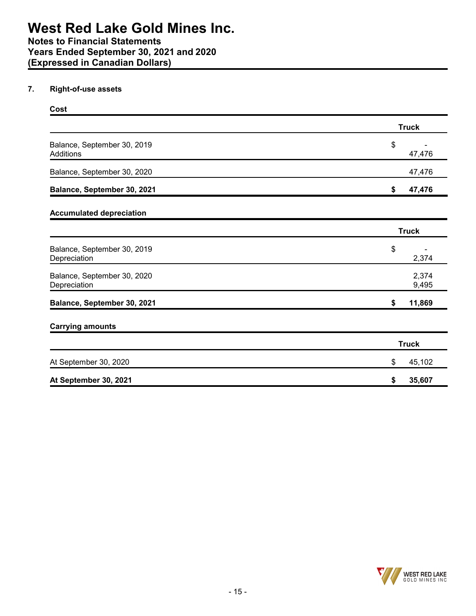# **Notes to Financial Statements Years Ended September 30, 2021 and 2020 (Expressed in Canadian Dollars)**

# **7. Right-of-use assets**

| Cost                                        |                |
|---------------------------------------------|----------------|
|                                             | <b>Truck</b>   |
| Balance, September 30, 2019<br>Additions    | \$<br>47,476   |
| Balance, September 30, 2020                 | 47,476         |
| Balance, September 30, 2021                 | \$<br>47,476   |
| <b>Accumulated depreciation</b>             |                |
|                                             | <b>Truck</b>   |
| Balance, September 30, 2019<br>Depreciation | \$<br>2,374    |
| Balance, September 30, 2020<br>Depreciation | 2,374<br>9,495 |
| Balance, September 30, 2021                 | \$<br>11,869   |
| <b>Carrying amounts</b>                     |                |
|                                             | <b>Truck</b>   |
| At September 30, 2020                       | \$<br>45,102   |
| At September 30, 2021                       | \$<br>35,607   |

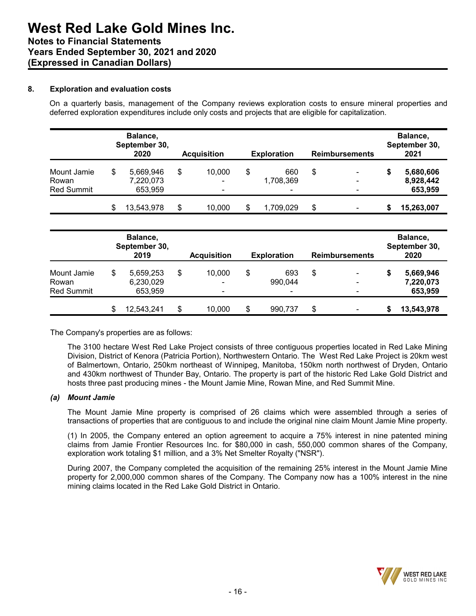# **West Red Lake Gold Mines Inc. Notes to Financial Statements Years Ended September 30, 2021 and 2020 (Expressed in Canadian Dollars)**

## **8. Exploration and evaluation costs**

On a quarterly basis, management of the Company reviews exploration costs to ensure mineral properties and deferred exploration expenditures include only costs and projects that are eligible for capitalization.

|                                           | Balance,<br>September 30,<br>2020       | <b>Acquisition</b> | <b>Exploration</b>     | <b>Reimbursements</b> | Balance,<br>September 30,<br>2021       |
|-------------------------------------------|-----------------------------------------|--------------------|------------------------|-----------------------|-----------------------------------------|
| Mount Jamie<br>Rowan<br><b>Red Summit</b> | \$<br>5,669,946<br>7,220,073<br>653,959 | \$<br>10,000       | \$<br>660<br>1,708,369 | \$                    | \$<br>5,680,606<br>8,928,442<br>653,959 |
|                                           | \$<br>13,543,978                        | \$<br>10,000       | \$<br>1,709,029        | \$                    | \$<br>15,263,007                        |
|                                           | Balance,<br>September 30,<br>2019       | <b>Acquisition</b> | <b>Exploration</b>     | <b>Reimbursements</b> | Balance,<br>September 30,<br>2020       |
| Mount Jamie<br>Rowan<br><b>Red Summit</b> | \$<br>5,659,253<br>6,230,029<br>653,959 | \$<br>10,000       | \$<br>693<br>990,044   | \$                    | \$<br>5,669,946<br>7,220,073<br>653,959 |
|                                           | \$<br>12,543,241                        | \$<br>10,000       | \$<br>990,737          | \$                    | \$<br>13,543,978                        |

The Company's properties are as follows:

The 3100 hectare West Red Lake Project consists of three contiguous properties located in Red Lake Mining Division, District of Kenora (Patricia Portion), Northwestern Ontario. The West Red Lake Project is 20km west of Balmertown, Ontario, 250km northeast of Winnipeg, Manitoba, 150km north northwest of Dryden, Ontario and 430km northwest of Thunder Bay, Ontario. The property is part of the historic Red Lake Gold District and hosts three past producing mines - the Mount Jamie Mine, Rowan Mine, and Red Summit Mine.

#### *(a) Mount Jamie*

The Mount Jamie Mine property is comprised of 26 claims which were assembled through a series of transactions of properties that are contiguous to and include the original nine claim Mount Jamie Mine property.

(1) In 2005, the Company entered an option agreement to acquire a 75% interest in nine patented mining claims from Jamie Frontier Resources Inc. for \$80,000 in cash, 550,000 common shares of the Company, exploration work totaling \$1 million, and a 3% Net Smelter Royalty ("NSR").

During 2007, the Company completed the acquisition of the remaining 25% interest in the Mount Jamie Mine property for 2,000,000 common shares of the Company. The Company now has a 100% interest in the nine mining claims located in the Red Lake Gold District in Ontario.

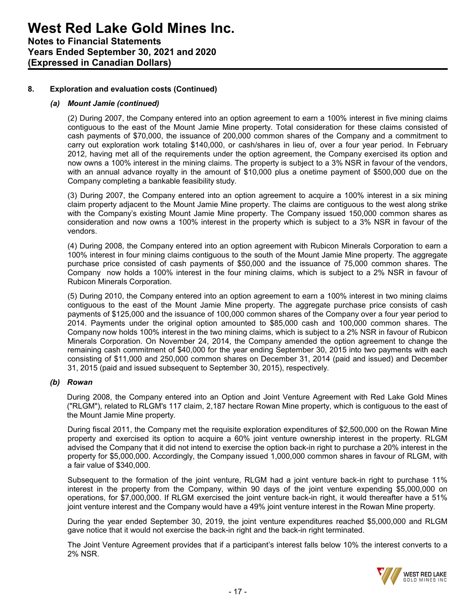# **8. Exploration and evaluation costs (Continued)**

#### *(a) Mount Jamie (continued)*

(2) During 2007, the Company entered into an option agreement to earn a 100% interest in five mining claims contiguous to the east of the Mount Jamie Mine property. Total consideration for these claims consisted of cash payments of \$70,000, the issuance of 200,000 common shares of the Company and a commitment to carry out exploration work totaling \$140,000, or cash/shares in lieu of, over a four year period. In February 2012, having met all of the requirements under the option agreement, the Company exercised its option and now owns a 100% interest in the mining claims. The property is subject to a 3% NSR in favour of the vendors, with an annual advance royalty in the amount of \$10,000 plus a onetime payment of \$500,000 due on the Company completing a bankable feasibility study.

(3) During 2007, the Company entered into an option agreement to acquire a 100% interest in a six mining claim property adjacent to the Mount Jamie Mine property. The claims are contiguous to the west along strike with the Company's existing Mount Jamie Mine property. The Company issued 150,000 common shares as consideration and now owns a 100% interest in the property which is subject to a 3% NSR in favour of the vendors.

(4) During 2008, the Company entered into an option agreement with Rubicon Minerals Corporation to earn a 100% interest in four mining claims contiguous to the south of the Mount Jamie Mine property. The aggregate purchase price consisted of cash payments of \$50,000 and the issuance of 75,000 common shares. The Company now holds a 100% interest in the four mining claims, which is subject to a 2% NSR in favour of Rubicon Minerals Corporation.

(5) During 2010, the Company entered into an option agreement to earn a 100% interest in two mining claims contiguous to the east of the Mount Jamie Mine property. The aggregate purchase price consists of cash payments of \$125,000 and the issuance of 100,000 common shares of the Company over a four year period to 2014. Payments under the original option amounted to \$85,000 cash and 100,000 common shares. The Company now holds 100% interest in the two mining claims, which is subject to a 2% NSR in favour of Rubicon Minerals Corporation. On November 24, 2014, the Company amended the option agreement to change the remaining cash commitment of \$40,000 for the year ending September 30, 2015 into two payments with each consisting of \$11,000 and 250,000 common shares on December 31, 2014 (paid and issued) and December 31, 2015 (paid and issued subsequent to September 30, 2015), respectively.

#### *(b) Rowan*

During 2008, the Company entered into an Option and Joint Venture Agreement with Red Lake Gold Mines ("RLGM"), related to RLGM's 117 claim, 2,187 hectare Rowan Mine property, which is contiguous to the east of the Mount Jamie Mine property.

During fiscal 2011, the Company met the requisite exploration expenditures of \$2,500,000 on the Rowan Mine property and exercised its option to acquire a 60% joint venture ownership interest in the property. RLGM advised the Company that it did not intend to exercise the option back-in right to purchase a 20% interest in the property for \$5,000,000. Accordingly, the Company issued 1,000,000 common shares in favour of RLGM, with a fair value of \$340,000.

Subsequent to the formation of the joint venture, RLGM had a joint venture back-in right to purchase 11% interest in the property from the Company, within 90 days of the joint venture expending \$5,000,000 on operations, for \$7,000,000. If RLGM exercised the joint venture back-in right, it would thereafter have a 51% joint venture interest and the Company would have a 49% joint venture interest in the Rowan Mine property.

During the year ended September 30, 2019, the joint venture expenditures reached \$5,000,000 and RLGM gave notice that it would not exercise the back-in right and the back-in right terminated.

The Joint Venture Agreement provides that if a participant's interest falls below 10% the interest converts to a 2% NSR.

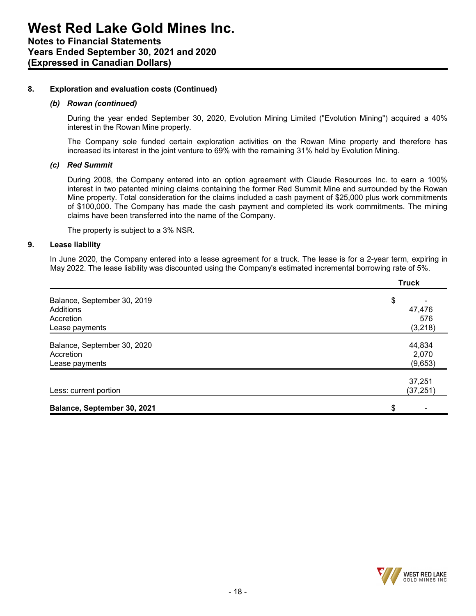#### **8. Exploration and evaluation costs (Continued)**

#### *(b) Rowan (continued)*

During the year ended September 30, 2020, Evolution Mining Limited ("Evolution Mining") acquired a 40% interest in the Rowan Mine property.

The Company sole funded certain exploration activities on the Rowan Mine property and therefore has increased its interest in the joint venture to 69% with the remaining 31% held by Evolution Mining.

#### *(c) Red Summit*

During 2008, the Company entered into an option agreement with Claude Resources Inc. to earn a 100% interest in two patented mining claims containing the former Red Summit Mine and surrounded by the Rowan Mine property. Total consideration for the claims included a cash payment of \$25,000 plus work commitments of \$100,000. The Company has made the cash payment and completed its work commitments. The mining claims have been transferred into the name of the Company.

The property is subject to a 3% NSR.

#### **9. Lease liability**

In June 2020, the Company entered into a lease agreement for a truck. The lease is for a 2-year term, expiring in May 2022. The lease liability was discounted using the Company's estimated incremental borrowing rate of 5%.

|                             | <b>Truck</b> |
|-----------------------------|--------------|
| Balance, September 30, 2019 | \$<br>-      |
| Additions                   | 47,476       |
| Accretion                   | 576          |
| Lease payments              | (3,218)      |
| Balance, September 30, 2020 | 44,834       |
| Accretion                   | 2,070        |
| Lease payments              | (9,653)      |
|                             | 37,251       |
| Less: current portion       | (37, 251)    |
| Balance, September 30, 2021 | \$           |

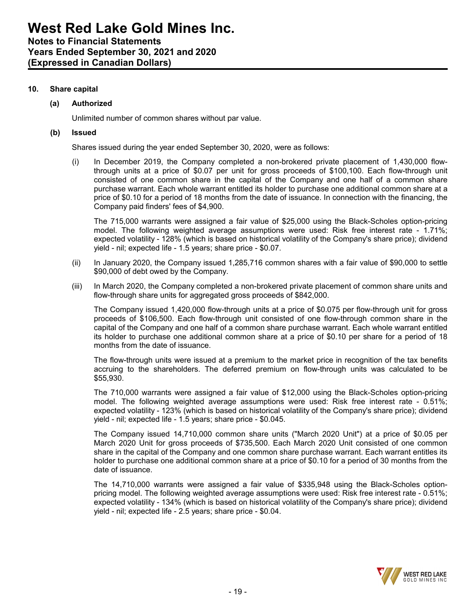## **10. Share capital**

#### **(a) Authorized**

Unlimited number of common shares without par value.

#### **(b) Issued**

Shares issued during the year ended September 30, 2020, were as follows:

(i) In December 2019, the Company completed a non-brokered private placement of 1,430,000 flowthrough units at a price of \$0.07 per unit for gross proceeds of \$100,100. Each flow-through unit consisted of one common share in the capital of the Company and one half of a common share purchase warrant. Each whole warrant entitled its holder to purchase one additional common share at a price of \$0.10 for a period of 18 months from the date of issuance. In connection with the financing, the Company paid finders' fees of \$4,900.

The 715,000 warrants were assigned a fair value of \$25,000 using the Black-Scholes option-pricing model. The following weighted average assumptions were used: Risk free interest rate - 1.71%; expected volatility - 128% (which is based on historical volatility of the Company's share price); dividend yield - nil; expected life - 1.5 years; share price - \$0.07.

- (ii) In January 2020, the Company issued 1,285,716 common shares with a fair value of \$90,000 to settle \$90,000 of debt owed by the Company.
- (iii) In March 2020, the Company completed a non-brokered private placement of common share units and flow-through share units for aggregated gross proceeds of \$842,000.

The Company issued 1,420,000 flow-through units at a price of \$0.075 per flow-through unit for gross proceeds of \$106,500. Each flow-through unit consisted of one flow-through common share in the capital of the Company and one half of a common share purchase warrant. Each whole warrant entitled its holder to purchase one additional common share at a price of \$0.10 per share for a period of 18 months from the date of issuance.

The flow-through units were issued at a premium to the market price in recognition of the tax benefits accruing to the shareholders. The deferred premium on flow-through units was calculated to be \$55,930.

The 710,000 warrants were assigned a fair value of \$12,000 using the Black-Scholes option-pricing model. The following weighted average assumptions were used: Risk free interest rate - 0.51%; expected volatility - 123% (which is based on historical volatility of the Company's share price); dividend yield - nil; expected life - 1.5 years; share price - \$0.045.

The Company issued 14,710,000 common share units ("March 2020 Unit") at a price of \$0.05 per March 2020 Unit for gross proceeds of \$735,500. Each March 2020 Unit consisted of one common share in the capital of the Company and one common share purchase warrant. Each warrant entitles its holder to purchase one additional common share at a price of \$0.10 for a period of 30 months from the date of issuance.

The 14,710,000 warrants were assigned a fair value of \$335,948 using the Black-Scholes optionpricing model. The following weighted average assumptions were used: Risk free interest rate - 0.51%; expected volatility - 134% (which is based on historical volatility of the Company's share price); dividend yield - nil; expected life - 2.5 years; share price - \$0.04.

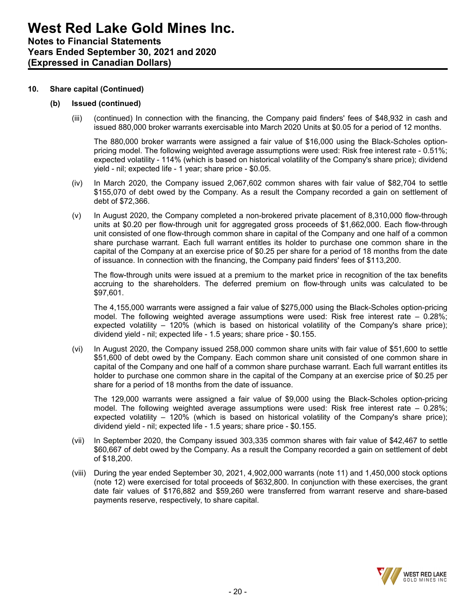## **10. Share capital (Continued)**

#### **(b) Issued (continued)**

(iii) (continued) In connection with the financing, the Company paid finders' fees of \$48,932 in cash and issued 880,000 broker warrants exercisable into March 2020 Units at \$0.05 for a period of 12 months.

The 880,000 broker warrants were assigned a fair value of \$16,000 using the Black-Scholes optionpricing model. The following weighted average assumptions were used: Risk free interest rate - 0.51%; expected volatility - 114% (which is based on historical volatility of the Company's share price); dividend yield - nil; expected life - 1 year; share price - \$0.05.

- (iv) In March 2020, the Company issued 2,067,602 common shares with fair value of \$82,704 to settle \$155,070 of debt owed by the Company. As a result the Company recorded a gain on settlement of debt of \$72,366.
- (v) In August 2020, the Company completed a non-brokered private placement of 8,310,000 flow-through units at \$0.20 per flow-through unit for aggregated gross proceeds of \$1,662,000. Each flow-through unit consisted of one flow-through common share in capital of the Company and one half of a common share purchase warrant. Each full warrant entitles its holder to purchase one common share in the capital of the Company at an exercise price of \$0.25 per share for a period of 18 months from the date of issuance. In connection with the financing, the Company paid finders' fees of \$113,200.

The flow-through units were issued at a premium to the market price in recognition of the tax benefits accruing to the shareholders. The deferred premium on flow-through units was calculated to be \$97,601.

The 4,155,000 warrants were assigned a fair value of \$275,000 using the Black-Scholes option-pricing model. The following weighted average assumptions were used: Risk free interest rate – 0.28%; expected volatility – 120% (which is based on historical volatility of the Company's share price); dividend yield - nil; expected life - 1.5 years; share price - \$0.155.

(vi) In August 2020, the Company issued 258,000 common share units with fair value of \$51,600 to settle \$51,600 of debt owed by the Company. Each common share unit consisted of one common share in capital of the Company and one half of a common share purchase warrant. Each full warrant entitles its holder to purchase one common share in the capital of the Company at an exercise price of \$0.25 per share for a period of 18 months from the date of issuance.

The 129,000 warrants were assigned a fair value of \$9,000 using the Black-Scholes option-pricing model. The following weighted average assumptions were used: Risk free interest rate – 0.28%; expected volatility – 120% (which is based on historical volatility of the Company's share price); dividend yield - nil; expected life - 1.5 years; share price - \$0.155.

- (vii) In September 2020, the Company issued 303,335 common shares with fair value of \$42,467 to settle \$60,667 of debt owed by the Company. As a result the Company recorded a gain on settlement of debt of \$18,200.
- (viii) During the year ended September 30, 2021, 4,902,000 warrants (note 11) and 1,450,000 stock options (note 12) were exercised for total proceeds of \$632,800. In conjunction with these exercises, the grant date fair values of \$176,882 and \$59,260 were transferred from warrant reserve and share-based payments reserve, respectively, to share capital.

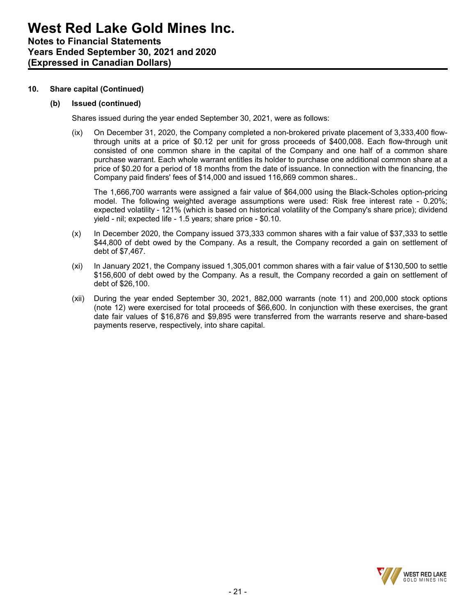## **10. Share capital (Continued)**

#### **(b) Issued (continued)**

Shares issued during the year ended September 30, 2021, were as follows:

(ix) On December 31, 2020, the Company completed a non-brokered private placement of 3,333,400 flowthrough units at a price of \$0.12 per unit for gross proceeds of \$400,008. Each flow-through unit consisted of one common share in the capital of the Company and one half of a common share purchase warrant. Each whole warrant entitles its holder to purchase one additional common share at a price of \$0.20 for a period of 18 months from the date of issuance. In connection with the financing, the Company paid finders' fees of \$14,000 and issued 116,669 common shares..

The 1,666,700 warrants were assigned a fair value of \$64,000 using the Black-Scholes option-pricing model. The following weighted average assumptions were used: Risk free interest rate - 0.20%; expected volatility - 121% (which is based on historical volatility of the Company's share price); dividend yield - nil; expected life - 1.5 years; share price - \$0.10.

- (x) In December 2020, the Company issued 373,333 common shares with a fair value of \$37,333 to settle \$44,800 of debt owed by the Company. As a result, the Company recorded a gain on settlement of debt of \$7,467.
- (xi) In January 2021, the Company issued 1,305,001 common shares with a fair value of \$130,500 to settle \$156,600 of debt owed by the Company. As a result, the Company recorded a gain on settlement of debt of \$26,100.
- (xii) During the year ended September 30, 2021, 882,000 warrants (note 11) and 200,000 stock options (note 12) were exercised for total proceeds of \$66,600. In conjunction with these exercises, the grant date fair values of \$16,876 and \$9,895 were transferred from the warrants reserve and share-based payments reserve, respectively, into share capital.

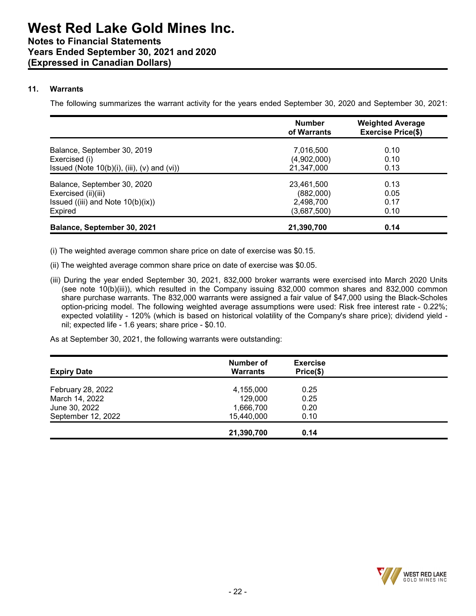# **11. Warrants**

The following summarizes the warrant activity for the years ended September 30, 2020 and September 30, 2021:

|                                             | <b>Number</b><br>of Warrants | <b>Weighted Average</b><br><b>Exercise Price(\$)</b> |
|---------------------------------------------|------------------------------|------------------------------------------------------|
| Balance, September 30, 2019                 | 7,016,500                    | 0.10                                                 |
| Exercised (i)                               | (4,902,000)                  | 0.10                                                 |
| Issued (Note 10(b)(i), (iii), (v) and (vi)) | 21,347,000                   | 0.13                                                 |
| Balance, September 30, 2020                 | 23,461,500                   | 0.13                                                 |
| Exercised (ii)(iii)                         | (882,000)                    | 0.05                                                 |
| Issued ((iii) and Note $10(b)(ix)$ )        | 2,498,700                    | 0.17                                                 |
| Expired                                     | (3,687,500)                  | 0.10                                                 |
| Balance, September 30, 2021                 | 21,390,700                   | 0.14                                                 |

(i) The weighted average common share price on date of exercise was \$0.15.

- (ii) The weighted average common share price on date of exercise was \$0.05.
- (iii) During the year ended September 30, 2021, 832,000 broker warrants were exercised into March 2020 Units (see note 10(b)(iii)), which resulted in the Company issuing 832,000 common shares and 832,000 common share purchase warrants. The 832,000 warrants were assigned a fair value of \$47,000 using the Black-Scholes option-pricing model. The following weighted average assumptions were used: Risk free interest rate - 0.22%; expected volatility - 120% (which is based on historical volatility of the Company's share price); dividend yield nil; expected life - 1.6 years; share price - \$0.10.

As at September 30, 2021, the following warrants were outstanding:

| <b>Expiry Date</b> | Number of<br><b>Warrants</b> | <b>Exercise</b><br>Price(\$) |  |
|--------------------|------------------------------|------------------------------|--|
| February 28, 2022  | 4,155,000                    | 0.25                         |  |
| March 14, 2022     | 129,000                      | 0.25                         |  |
| June 30, 2022      | 1,666,700                    | 0.20                         |  |
| September 12, 2022 | 15,440,000                   | 0.10                         |  |
|                    | 21,390,700                   | 0.14                         |  |

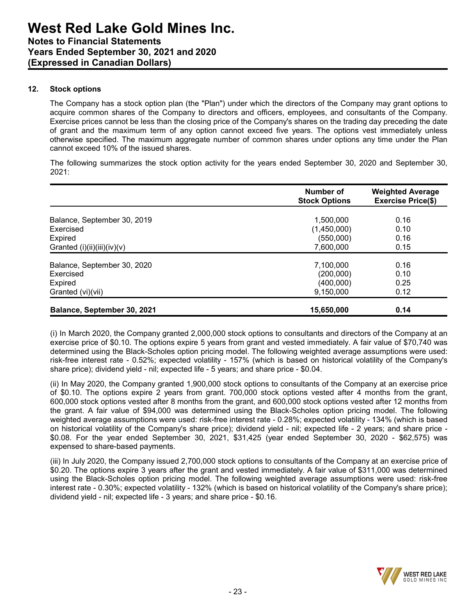## **12. Stock options**

The Company has a stock option plan (the "Plan") under which the directors of the Company may grant options to acquire common shares of the Company to directors and officers, employees, and consultants of the Company. Exercise prices cannot be less than the closing price of the Company's shares on the trading day preceding the date of grant and the maximum term of any option cannot exceed five years. The options vest immediately unless otherwise specified. The maximum aggregate number of common shares under options any time under the Plan cannot exceed 10% of the issued shares.

The following summarizes the stock option activity for the years ended September 30, 2020 and September 30, 2021:

|                             | Number of<br><b>Stock Options</b> | <b>Weighted Average</b><br><b>Exercise Price(\$)</b> |
|-----------------------------|-----------------------------------|------------------------------------------------------|
|                             |                                   |                                                      |
| Balance, September 30, 2019 | 1,500,000                         | 0.16                                                 |
| Exercised                   | (1,450,000)                       | 0.10                                                 |
| Expired                     | (550,000)                         | 0.16                                                 |
| Granted (i)(ii)(iii)(iv)(v) | 7,600,000                         | 0.15                                                 |
| Balance, September 30, 2020 | 7,100,000                         | 0.16                                                 |
| Exercised                   | (200,000)                         | 0.10                                                 |
| Expired                     | (400,000)                         | 0.25                                                 |
| Granted (vi)(vii)           | 9,150,000                         | 0.12                                                 |
| Balance, September 30, 2021 | 15,650,000                        | 0.14                                                 |

(i) In March 2020, the Company granted 2,000,000 stock options to consultants and directors of the Company at an exercise price of \$0.10. The options expire 5 years from grant and vested immediately. A fair value of \$70,740 was determined using the Black-Scholes option pricing model. The following weighted average assumptions were used: risk-free interest rate - 0.52%; expected volatility - 157% (which is based on historical volatility of the Company's share price); dividend yield - nil; expected life - 5 years; and share price - \$0.04.

(ii) In May 2020, the Company granted 1,900,000 stock options to consultants of the Company at an exercise price of \$0.10. The options expire 2 years from grant. 700,000 stock options vested after 4 months from the grant, 600,000 stock options vested after 8 months from the grant, and 600,000 stock options vested after 12 months from the grant. A fair value of \$94,000 was determined using the Black-Scholes option pricing model. The following weighted average assumptions were used: risk-free interest rate - 0.28%; expected volatility - 134% (which is based on historical volatility of the Company's share price); dividend yield - nil; expected life - 2 years; and share price - \$0.08. For the year ended September 30, 2021, \$31,425 (year ended September 30, 2020 - \$62,575) was expensed to share-based payments.

(iii) In July 2020, the Company issued 2,700,000 stock options to consultants of the Company at an exercise price of \$0.20. The options expire 3 years after the grant and vested immediately. A fair value of \$311,000 was determined using the Black-Scholes option pricing model. The following weighted average assumptions were used: risk-free interest rate - 0.30%; expected volatility - 132% (which is based on historical volatility of the Company's share price); dividend yield - nil; expected life - 3 years; and share price - \$0.16.

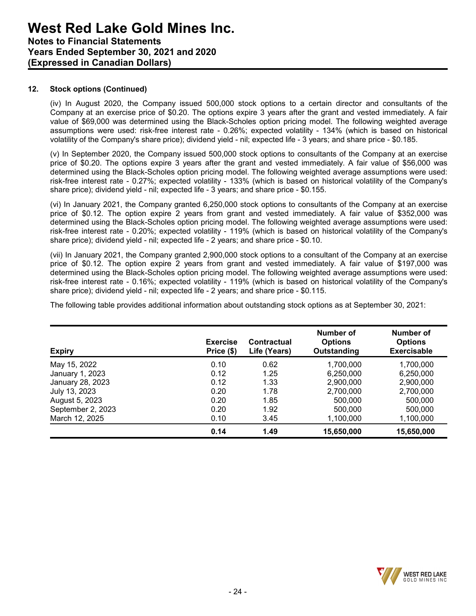# **West Red Lake Gold Mines Inc. Notes to Financial Statements Years Ended September 30, 2021 and 2020 (Expressed in Canadian Dollars)**

# **12. Stock options (Continued)**

(iv) In August 2020, the Company issued 500,000 stock options to a certain director and consultants of the Company at an exercise price of \$0.20. The options expire 3 years after the grant and vested immediately. A fair value of \$69,000 was determined using the Black-Scholes option pricing model. The following weighted average assumptions were used: risk-free interest rate - 0.26%; expected volatility - 134% (which is based on historical volatility of the Company's share price); dividend yield - nil; expected life - 3 years; and share price - \$0.185.

(v) In September 2020, the Company issued 500,000 stock options to consultants of the Company at an exercise price of \$0.20. The options expire 3 years after the grant and vested immediately. A fair value of \$56,000 was determined using the Black-Scholes option pricing model. The following weighted average assumptions were used: risk-free interest rate - 0.27%; expected volatility - 133% (which is based on historical volatility of the Company's share price); dividend yield - nil; expected life - 3 years; and share price - \$0.155.

(vi) In January 2021, the Company granted 6,250,000 stock options to consultants of the Company at an exercise price of \$0.12. The option expire 2 years from grant and vested immediately. A fair value of \$352,000 was determined using the Black-Scholes option pricing model. The following weighted average assumptions were used: risk-free interest rate - 0.20%; expected volatility - 119% (which is based on historical volatility of the Company's share price); dividend yield - nil; expected life - 2 years; and share price - \$0.10.

(vii) In January 2021, the Company granted 2,900,000 stock options to a consultant of the Company at an exercise price of \$0.12. The option expire 2 years from grant and vested immediately. A fair value of \$197,000 was determined using the Black-Scholes option pricing model. The following weighted average assumptions were used: risk-free interest rate - 0.16%; expected volatility - 119% (which is based on historical volatility of the Company's share price); dividend yield - nil; expected life - 2 years; and share price - \$0.115.

The following table provides additional information about outstanding stock options as at September 30, 2021:

| <b>Expiry</b>     | <b>Exercise</b><br>Price (\$) | Contractual<br>Life (Years) | Number of<br><b>Options</b><br>Outstanding | Number of<br><b>Options</b><br><b>Exercisable</b> |
|-------------------|-------------------------------|-----------------------------|--------------------------------------------|---------------------------------------------------|
| May 15, 2022      | 0.10                          | 0.62                        | 1,700,000                                  | 1,700,000                                         |
| January 1, 2023   | 0.12                          | 1.25                        | 6,250,000                                  | 6,250,000                                         |
| January 28, 2023  | 0.12                          | 1.33                        | 2,900,000                                  | 2,900,000                                         |
| July 13, 2023     | 0.20                          | 1.78                        | 2,700,000                                  | 2,700,000                                         |
| August 5, 2023    | 0.20                          | 1.85                        | 500,000                                    | 500,000                                           |
| September 2, 2023 | 0.20                          | 1.92                        | 500,000                                    | 500,000                                           |
| March 12, 2025    | 0.10                          | 3.45                        | 1,100,000                                  | 1,100,000                                         |
|                   | 0.14                          | 1.49                        | 15,650,000                                 | 15,650,000                                        |

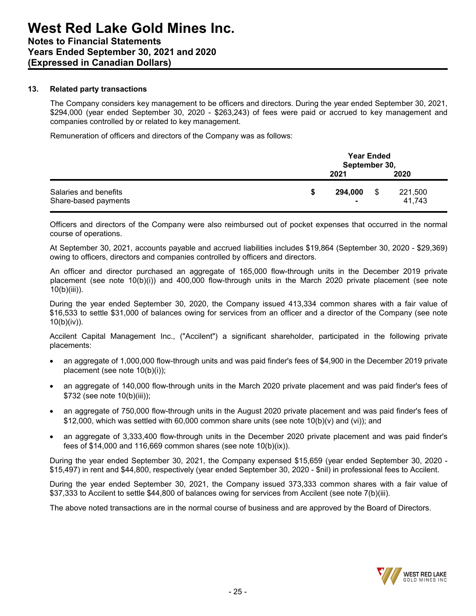## **13. Related party transactions**

The Company considers key management to be officers and directors. During the year ended September 30, 2021, \$294,000 (year ended September 30, 2020 - \$263,243) of fees were paid or accrued to key management and companies controlled by or related to key management.

Remuneration of officers and directors of the Company was as follows:

|                                               | <b>Year Ended</b><br>September 30, |    |                   |  |
|-----------------------------------------------|------------------------------------|----|-------------------|--|
|                                               | 2021                               |    | 2020              |  |
| Salaries and benefits<br>Share-based payments | 294,000                            | \$ | 221,500<br>41,743 |  |

Officers and directors of the Company were also reimbursed out of pocket expenses that occurred in the normal course of operations.

At September 30, 2021, accounts payable and accrued liabilities includes \$19,864 (September 30, 2020 - \$29,369) owing to officers, directors and companies controlled by officers and directors.

An officer and director purchased an aggregate of 165,000 flow-through units in the December 2019 private placement (see note 10(b)(i)) and 400,000 flow-through units in the March 2020 private placement (see note 10(b)(iii)).

During the year ended September 30, 2020, the Company issued 413,334 common shares with a fair value of \$16,533 to settle \$31,000 of balances owing for services from an officer and a director of the Company (see note 10(b)(iv)).

Accilent Capital Management Inc., ("Accilent") a significant shareholder, participated in the following private placements:

- an aggregate of 1,000,000 flow-through units and was paid finder's fees of \$4,900 in the December 2019 private placement (see note 10(b)(i));
- an aggregate of 140,000 flow-through units in the March 2020 private placement and was paid finder's fees of \$732 (see note 10(b)(iii));
- an aggregate of 750,000 flow-through units in the August 2020 private placement and was paid finder's fees of \$12,000, which was settled with 60,000 common share units (see note 10(b)(v) and (vi)); and
- an aggregate of 3,333,400 flow-through units in the December 2020 private placement and was paid finder's fees of \$14,000 and 116,669 common shares (see note 10(b)(ix)).

During the year ended September 30, 2021, the Company expensed \$15,659 (year ended September 30, 2020 - \$15,497) in rent and \$44,800, respectively (year ended September 30, 2020 - \$nil) in professional fees to Accilent.

During the year ended September 30, 2021, the Company issued 373,333 common shares with a fair value of \$37,333 to Accilent to settle \$44,800 of balances owing for services from Accilent (see note 7(b)(iii).

The above noted transactions are in the normal course of business and are approved by the Board of Directors.

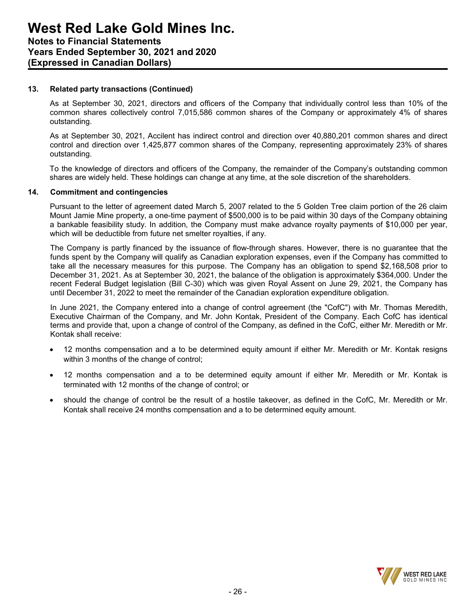# **13. Related party transactions (Continued)**

As at September 30, 2021, directors and officers of the Company that individually control less than 10% of the common shares collectively control 7,015,586 common shares of the Company or approximately 4% of shares outstanding.

As at September 30, 2021, Accilent has indirect control and direction over 40,880,201 common shares and direct control and direction over 1,425,877 common shares of the Company, representing approximately 23% of shares outstanding.

To the knowledge of directors and officers of the Company, the remainder of the Company's outstanding common shares are widely held. These holdings can change at any time, at the sole discretion of the shareholders.

#### **14. Commitment and contingencies**

Pursuant to the letter of agreement dated March 5, 2007 related to the 5 Golden Tree claim portion of the 26 claim Mount Jamie Mine property, a one-time payment of \$500,000 is to be paid within 30 days of the Company obtaining a bankable feasibility study. In addition, the Company must make advance royalty payments of \$10,000 per year, which will be deductible from future net smelter royalties, if any.

The Company is partly financed by the issuance of flow-through shares. However, there is no guarantee that the funds spent by the Company will qualify as Canadian exploration expenses, even if the Company has committed to take all the necessary measures for this purpose. The Company has an obligation to spend \$2,168,508 prior to December 31, 2021. As at September 30, 2021, the balance of the obligation is approximately \$364,000. Under the recent Federal Budget legislation (Bill C-30) which was given Royal Assent on June 29, 2021, the Company has until December 31, 2022 to meet the remainder of the Canadian exploration expenditure obligation.

In June 2021, the Company entered into a change of control agreement (the "CofC") with Mr. Thomas Meredith, Executive Chairman of the Company, and Mr. John Kontak, President of the Company. Each CofC has identical terms and provide that, upon a change of control of the Company, as defined in the CofC, either Mr. Meredith or Mr. Kontak shall receive:

- 12 months compensation and a to be determined equity amount if either Mr. Meredith or Mr. Kontak resigns within 3 months of the change of control;
- 12 months compensation and a to be determined equity amount if either Mr. Meredith or Mr. Kontak is terminated with 12 months of the change of control; or
- should the change of control be the result of a hostile takeover, as defined in the CofC, Mr. Meredith or Mr. Kontak shall receive 24 months compensation and a to be determined equity amount.

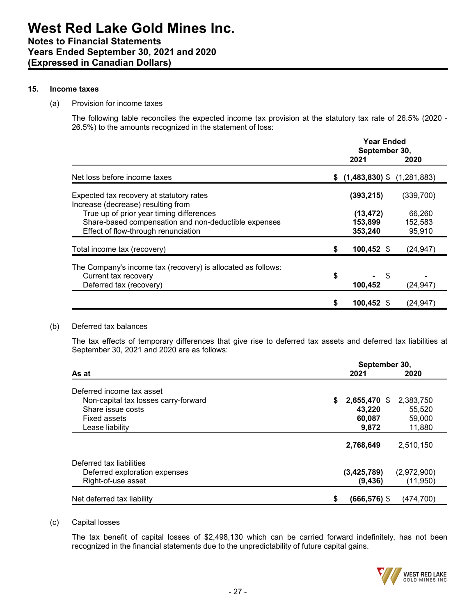#### **15. Income taxes**

## (a) Provision for income taxes

The following table reconciles the expected income tax provision at the statutory tax rate of 26.5% (2020 - 26.5%) to the amounts recognized in the statement of loss:

|                                                                                                                                         | <b>Year Ended</b><br>September 30, |                       |                     |
|-----------------------------------------------------------------------------------------------------------------------------------------|------------------------------------|-----------------------|---------------------|
|                                                                                                                                         |                                    | 2021                  | 2020                |
| Net loss before income taxes                                                                                                            | S.                                 | $(1,483,830)$ \$      | (1, 281, 883)       |
| Expected tax recovery at statutory rates<br>Increase (decrease) resulting from                                                          |                                    | (393, 215)            | (339,700)           |
| True up of prior year timing differences<br>Share-based compensation and non-deductible expenses<br>Effect of flow-through renunciation |                                    | (13, 472)<br>153,899  | 66,260<br>152,583   |
| Total income tax (recovery)                                                                                                             | \$                                 | 353,240<br>100,452 \$ | 95,910<br>(24, 947) |
| The Company's income tax (recovery) is allocated as follows:<br>Current tax recovery<br>Deferred tax (recovery)                         | \$                                 | \$<br>100,452         | (24, 947)           |
|                                                                                                                                         | \$                                 | $100,452$ \$          | (24, 947)           |

#### (b) Deferred tax balances

The tax effects of temporary differences that give rise to deferred tax assets and deferred tax liabilities at September 30, 2021 and 2020 are as follows:

|                                      | September 30, |                 |             |
|--------------------------------------|---------------|-----------------|-------------|
| As at                                |               | 2021            | 2020        |
| Deferred income tax asset            |               |                 |             |
| Non-capital tax losses carry-forward | S             | $2,655,470$ \$  | 2,383,750   |
| Share issue costs                    |               | 43,220          | 55,520      |
| Fixed assets                         |               | 60,087          | 59,000      |
| Lease liability                      |               | 9,872           | 11,880      |
|                                      |               | 2,768,649       | 2,510,150   |
| Deferred tax liabilities             |               |                 |             |
| Deferred exploration expenses        |               | (3,425,789)     | (2,972,900) |
| Right-of-use asset                   |               | (9, 436)        | (11,950)    |
| Net deferred tax liability           | \$            | $(666, 576)$ \$ | (474,700)   |

# (c) Capital losses

The tax benefit of capital losses of \$2,498,130 which can be carried forward indefinitely, has not been recognized in the financial statements due to the unpredictability of future capital gains.